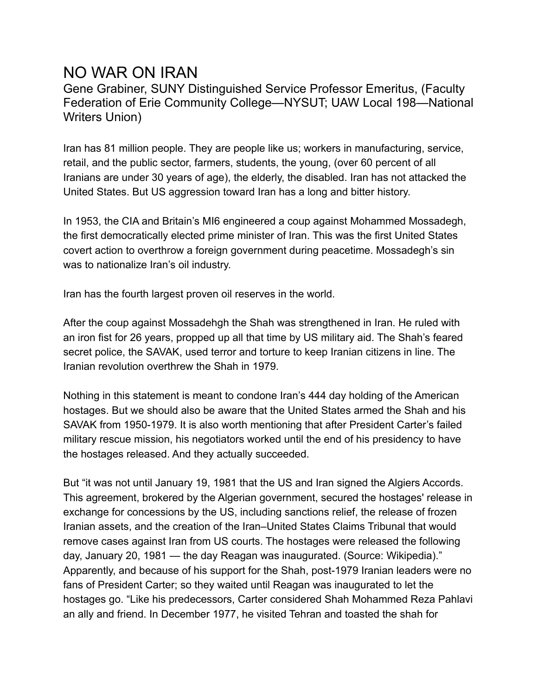## NO WAR ON IRAN

Gene Grabiner, SUNY Distinguished Service Professor Emeritus, (Faculty Federation of Erie Community College—NYSUT; UAW Local 198—National Writers Union)

Iran has 81 million people. They are people like us; workers in manufacturing, service, retail, and the public sector, farmers, students, the young, (over 60 percent of all Iranians are under 30 years of age), the elderly, the disabled. Iran has not attacked the United States. But US aggression toward Iran has a long and bitter history.

In 1953, the CIA and Britain's MI6 engineered a coup against Mohammed Mossadegh, the first democratically elected prime minister of Iran. This was the first United States covert action to overthrow a foreign government during peacetime. Mossadegh's sin was to nationalize Iran's oil industry.

Iran has the fourth largest proven oil reserves in the world.

After the coup against Mossadehgh the Shah was strengthened in Iran. He ruled with an iron fist for 26 years, propped up all that time by US military aid. The Shah's feared secret police, the SAVAK, used terror and torture to keep Iranian citizens in line. The Iranian revolution overthrew the Shah in 1979.

Nothing in this statement is meant to condone Iran's 444 day holding of the American hostages. But we should also be aware that the United States armed the Shah and his SAVAK from 1950-1979. It is also worth mentioning that after President Carter's failed military rescue mission, his negotiators worked until the end of his presidency to have the hostages released. And they actually succeeded.

But "it was not until January 19, 1981 that the US and Iran signed the Algiers Accords. This agreement, brokered by the Algerian government, secured the hostages' release in exchange for concessions by the US, including sanctions relief, the release of frozen Iranian assets, and the creation of the Iran–United States Claims Tribunal that would remove cases against Iran from US courts. The hostages were released the following day, January 20, 1981 — the day Reagan was inaugurated. (Source: Wikipedia)." Apparently, and because of his support for the Shah, post-1979 Iranian leaders were no fans of President Carter; so they waited until Reagan was inaugurated to let the hostages go. "Like his predecessors, Carter considered Shah Mohammed Reza Pahlavi an ally and friend. In December 1977, he visited Tehran and toasted the shah for